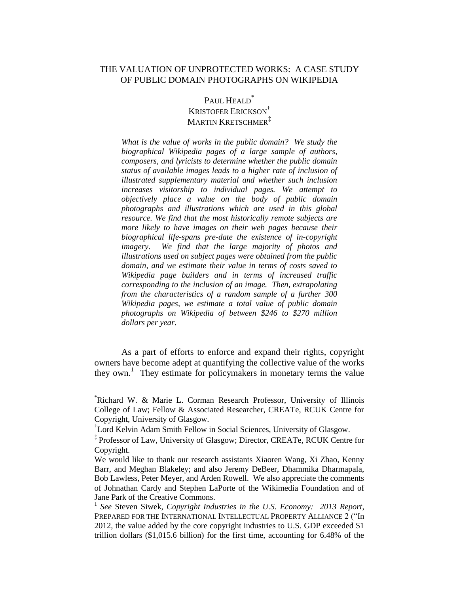### THE VALUATION OF UNPROTECTED WORKS: A CASE STUDY OF PUBLIC DOMAIN PHOTOGRAPHS ON WIKIPEDIA

# PAUL HEALD<sup>\*</sup> KRISTOFER ERICKSON† MARTIN KRETSCHMER<sup>‡</sup>

*What is the value of works in the public domain? We study the biographical Wikipedia pages of a large sample of authors, composers, and lyricists to determine whether the public domain status of available images leads to a higher rate of inclusion of illustrated supplementary material and whether such inclusion increases visitorship to individual pages. We attempt to objectively place a value on the body of public domain photographs and illustrations which are used in this global resource. We find that the most historically remote subjects are more likely to have images on their web pages because their biographical life-spans pre-date the existence of in-copyright imagery. We find that the large majority of photos and illustrations used on subject pages were obtained from the public domain, and we estimate their value in terms of costs saved to Wikipedia page builders and in terms of increased traffic corresponding to the inclusion of an image. Then, extrapolating from the characteristics of a random sample of a further 300 Wikipedia pages, we estimate a total value of public domain photographs on Wikipedia of between \$246 to \$270 million dollars per year.*

As a part of efforts to enforce and expand their rights, copyright owners have become adept at quantifying the collective value of the works they own.<sup>1</sup> They estimate for policymakers in monetary terms the value

<sup>\*</sup>Richard W. & Marie L. Corman Research Professor, University of Illinois College of Law; Fellow & Associated Researcher, CREATe, RCUK Centre for Copyright, University of Glasgow.

<sup>†</sup> Lord Kelvin Adam Smith Fellow in Social Sciences, University of Glasgow.

<sup>‡</sup> Professor of Law, University of Glasgow; Director, CREATe, RCUK Centre for Copyright.

We would like to thank our research assistants Xiaoren Wang, Xi Zhao, Kenny Barr, and Meghan Blakeley; and also Jeremy DeBeer, Dhammika Dharmapala, Bob Lawless, Peter Meyer, and Arden Rowell. We also appreciate the comments of Johnathan Cardy and Stephen LaPorte of the Wikimedia Foundation and of Jane Park of the Creative Commons.

<sup>&</sup>lt;sup>1</sup> See Steven Siwek, *Copyright Industries in the U.S. Economy:* 2013 Report, PREPARED FOR THE INTERNATIONAL INTELLECTUAL PROPERTY ALLIANCE 2 ("In 2012, the value added by the core copyright industries to U.S. GDP exceeded \$1 trillion dollars (\$1,015.6 billion) for the first time, accounting for 6.48% of the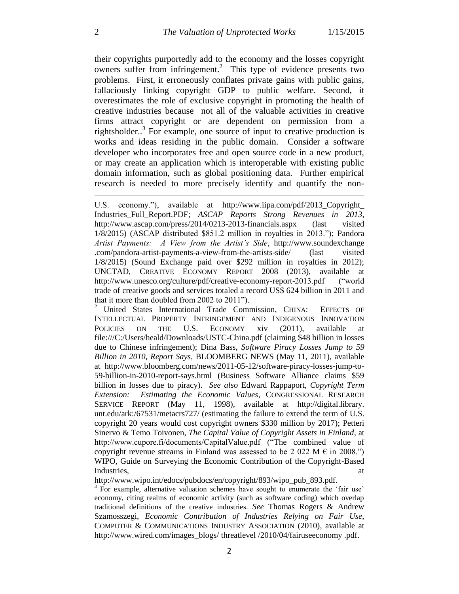their copyrights purportedly add to the economy and the losses copyright owners suffer from infringement. 2 This type of evidence presents two problems. First, it erroneously conflates private gains with public gains, fallaciously linking copyright GDP to public welfare. Second, it overestimates the role of exclusive copyright in promoting the health of creative industries because not all of the valuable activities in creative firms attract copyright or are dependent on permission from a rightsholder.<sup>3</sup> For example, one source of input to creative production is works and ideas residing in the public domain. Consider a software developer who incorporates free and open source code in a new product, or may create an application which is interoperable with existing public domain information, such as global positioning data. Further empirical research is needed to more precisely identify and quantify the non-

<sup>2</sup> United States International Trade Commission, CHINA: EFFECTS OF INTELLECTUAL PROPERTY INFRINGEMENT AND INDIGENOUS INNOVATION POLICIES ON THE U.S. ECONOMY xiv (2011), available at file:///C:/Users/heald/Downloads/USTC-China.pdf (claiming \$48 billion in losses due to Chinese infringement); Dina Bass, *Software Piracy Losses Jump to 59 Billion in 2010, Report Says*, BLOOMBERG NEWS (May 11, 2011), available at http://www.bloomberg.com/news/2011-05-12/software-piracy-losses-jump-to-59-billion-in-2010-report-says.html (Business Software Alliance claims \$59 billion in losses due to piracy). *See also* Edward Rappaport, *Copyright Term Extension: Estimating the Economic Values*, CONGRESSIONAL RESEARCH SERVICE REPORT (May 11, 1998), available at http://digital.library. unt.edu/ark:/67531/metacrs727/ (estimating the failure to extend the term of U.S. copyright 20 years would cost copyright owners \$330 million by 2017); Petteri Sinervo & Temo Toivonen, *The Capital Value of Copyright Assets in Finland*, at http://www.cupore.fi/documents/CapitalValue.pdf ("The combined value of copyright revenue streams in Finland was assessed to be 2 022 M  $\epsilon$  in 2008.") WIPO, Guide on Surveying the Economic Contribution of the Copyright-Based Industries, and the contract of the contract of the contract of the contract of the contract of the contract of the contract of the contract of the contract of the contract of the contract of the contract of the contract o

http://www.wipo.int/edocs/pubdocs/en/copyright/893/wipo\_pub\_893.pdf.

<sup>3</sup> For example, alternative valuation schemes have sought to enumerate the 'fair use' economy, citing realms of economic activity (such as software coding) which overlap traditional definitions of the creative industries. *See* Thomas Rogers & Andrew Szamosszegi, *Economic Contribution of Industries Relying on Fair Use*, COMPUTER & COMMUNICATIONS INDUSTRY ASSOCIATION (2010), available at http://www.wired.com/images\_blogs/ threatlevel /2010/04/fairuseeconomy .pdf.

U.S. economy."), available at http://www.iipa.com/pdf/2013\_Copyright\_ Industries\_Full\_Report.PDF; *ASCAP Reports Strong Revenues in 2013*, http://www.ascap.com/press/2014/0213-2013-financials.aspx (last visited 1/8/2015) (ASCAP distributed \$851.2 million in royalties in 2013."); Pandora *Artist Payments: A View from the Artist's Side*, http://www.soundexchange .com/pandora-artist-payments-a-view-from-the-artists-side/ (last visited 1/8/2015) (Sound Exchange paid over \$292 million in royalties in 2012); UNCTAD, CREATIVE ECONOMY REPORT 2008 (2013), available at http://www.unesco.org/culture/pdf/creative-economy-report-2013.pdf ("world trade of creative goods and services totaled a record US\$ 624 billion in 2011 and that it more than doubled from 2002 to 2011").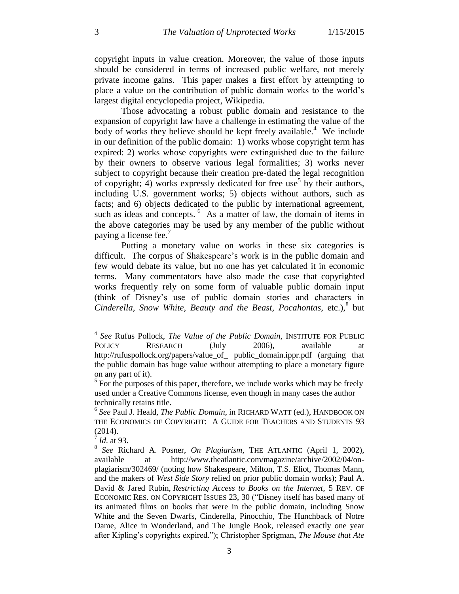copyright inputs in value creation. Moreover, the value of those inputs should be considered in terms of increased public welfare, not merely private income gains. This paper makes a first effort by attempting to place a value on the contribution of public domain works to the world's largest digital encyclopedia project, Wikipedia.

Those advocating a robust public domain and resistance to the expansion of copyright law have a challenge in estimating the value of the body of works they believe should be kept freely available.<sup>4</sup> We include in our definition of the public domain: 1) works whose copyright term has expired: 2) works whose copyrights were extinguished due to the failure by their owners to observe various legal formalities; 3) works never subject to copyright because their creation pre-dated the legal recognition of copyright; 4) works expressly dedicated for free use<sup>5</sup> by their authors, including U.S. government works; 5) objects without authors, such as facts; and 6) objects dedicated to the public by international agreement, such as ideas and concepts.  $6$  As a matter of law, the domain of items in the above categories may be used by any member of the public without paying a license fee.<sup>7</sup>

Putting a monetary value on works in these six categories is difficult. The corpus of Shakespeare's work is in the public domain and few would debate its value, but no one has yet calculated it in economic terms. Many commentators have also made the case that copyrighted works frequently rely on some form of valuable public domain input (think of Disney's use of public domain stories and characters in Cinderella, Snow White, Beauty and the Beast, Pocahontas, etc.),<sup>8</sup> but

<sup>4</sup> *See* Rufus Pollock, *The Value of the Public Domain*, INSTITUTE FOR PUBLIC POLICY RESEARCH (July 2006), available at http://rufuspollock.org/papers/value\_of\_ public\_domain.ippr.pdf (arguing that the public domain has huge value without attempting to place a monetary figure on any part of it).

<sup>&</sup>lt;sup>5</sup> For the purposes of this paper, therefore, we include works which may be freely used under a Creative Commons license, even though in many cases the author technically retains title.

<sup>6</sup> *See* Paul J. Heald, *The Public Domain*, in RICHARD WATT (ed.), HANDBOOK ON THE ECONOMICS OF COPYRIGHT: A GUIDE FOR TEACHERS AND STUDENTS 93 (2014).

<sup>7</sup> *Id*. at 93.

<sup>8</sup> *See* Richard A. Posner, *On Plagiarism*, THE ATLANTIC (April 1, 2002), available at http://www.theatlantic.com/magazine/archive/2002/04/onplagiarism/302469/ (noting how Shakespeare, Milton, T.S. Eliot, Thomas Mann, and the makers of *West Side Story* relied on prior public domain works); Paul A. David & Jared Rubin, *Restricting Access to Books on the Internet*, 5 REV. OF ECONOMIC RES. ON COPYRIGHT ISSUES 23, 30 ("Disney itself has based many of its animated films on books that were in the public domain, including Snow White and the Seven Dwarfs, Cinderella, Pinocchio, The Hunchback of Notre Dame, Alice in Wonderland, and The Jungle Book, released exactly one year after Kipling's copyrights expired."); Christopher Sprigman, *The Mouse that Ate*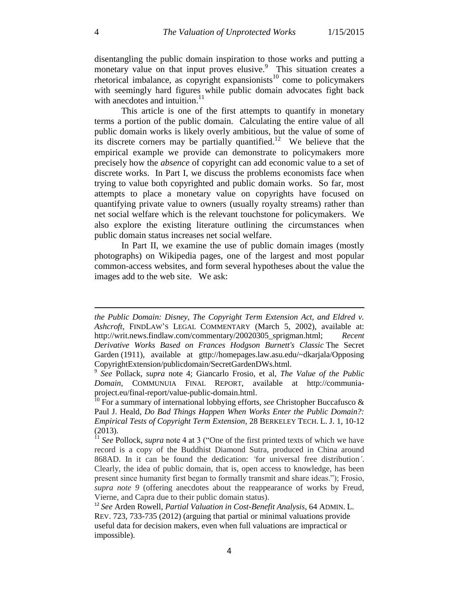disentangling the public domain inspiration to those works and putting a monetary value on that input proves elusive.<sup>9</sup> This situation creates a rhetorical imbalance, as copyright expansionists<sup>10</sup> come to policymakers with seemingly hard figures while public domain advocates fight back with anecdotes and intuition.<sup>11</sup>

This article is one of the first attempts to quantify in monetary terms a portion of the public domain. Calculating the entire value of all public domain works is likely overly ambitious, but the value of some of its discrete corners may be partially quantified.<sup>12</sup> We believe that the empirical example we provide can demonstrate to policymakers more precisely how the *absence* of copyright can add economic value to a set of discrete works. In Part I, we discuss the problems economists face when trying to value both copyrighted and public domain works. So far, most attempts to place a monetary value on copyrights have focused on quantifying private value to owners (usually royalty streams) rather than net social welfare which is the relevant touchstone for policymakers. We also explore the existing literature outlining the circumstances when public domain status increases net social welfare.

In Part II, we examine the use of public domain images (mostly photographs) on Wikipedia pages, one of the largest and most popular common-access websites, and form several hypotheses about the value the images add to the web site. We ask:

*the Public Domain: Disney, The Copyright Term Extension Act, and Eldred v. Ashcroft*, FINDLAW'S LEGAL COMMENTARY (March 5, 2002), available at: http://writ.news.findlaw.com/commentary/20020305\_sprigman.html; *Recent Derivative Works Based on Frances Hodgson Burnett's Classic* The Secret Garden (1911), available at gttp://homepages.law.asu.edu/~dkarjala/Opposing CopyrightExtension/publicdomain/SecretGardenDWs.html.

<sup>9</sup> *See* Pollack, *supra* note 4; Giancarlo Frosio, et al, *The Value of the Public Domain*, COMMUNUIA FINAL REPORT, available at http://communiaproject.eu/final-report/value-public-domain.html.

<sup>&</sup>lt;sup>10</sup> For a summary of international lobbying efforts, *see* Christopher Buccafusco & Paul J. Heald, *Do Bad Things Happen When Works Enter the Public Domain?: Empirical Tests of Copyright Term Extension*, 28 BERKELEY TECH. L. J. 1, 10-12 (2013).

<sup>&</sup>lt;sup>11</sup> *See* Pollock, *supra* note 4 at 3 ("One of the first printed texts of which we have record is a copy of the Buddhist Diamond Sutra, produced in China around 868AD. In it can be found the dedication: *'*for universal free distribution*'*. Clearly, the idea of public domain, that is, open access to knowledge, has been present since humanity first began to formally transmit and share ideas."); Frosio, *supra note 9* (offering anecdotes about the reappearance of works by Freud, Vierne, and Capra due to their public domain status).

<sup>12</sup> *See* Arden Rowell, *Partial Valuation in Cost-Benefit Analysis*, 64 ADMIN. L. REV. 723, 733-735 (2012) (arguing that partial or minimal valuations provide useful data for decision makers, even when full valuations are impractical or impossible).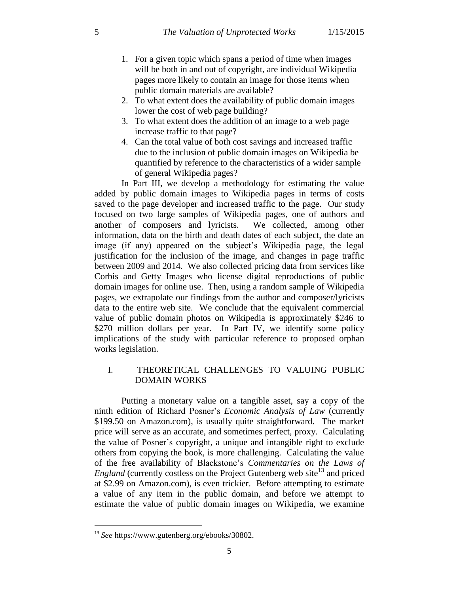- 1. For a given topic which spans a period of time when images will be both in and out of copyright, are individual Wikipedia pages more likely to contain an image for those items when public domain materials are available?
- 2. To what extent does the availability of public domain images lower the cost of web page building?
- 3. To what extent does the addition of an image to a web page increase traffic to that page?
- 4. Can the total value of both cost savings and increased traffic due to the inclusion of public domain images on Wikipedia be quantified by reference to the characteristics of a wider sample of general Wikipedia pages?

In Part III, we develop a methodology for estimating the value added by public domain images to Wikipedia pages in terms of costs saved to the page developer and increased traffic to the page. Our study focused on two large samples of Wikipedia pages, one of authors and another of composers and lyricists. We collected, among other information, data on the birth and death dates of each subject, the date an image (if any) appeared on the subject's Wikipedia page, the legal justification for the inclusion of the image, and changes in page traffic between 2009 and 2014. We also collected pricing data from services like Corbis and Getty Images who license digital reproductions of public domain images for online use. Then, using a random sample of Wikipedia pages, we extrapolate our findings from the author and composer/lyricists data to the entire web site. We conclude that the equivalent commercial value of public domain photos on Wikipedia is approximately \$246 to \$270 million dollars per year. In Part IV, we identify some policy implications of the study with particular reference to proposed orphan works legislation.

## I. THEORETICAL CHALLENGES TO VALUING PUBLIC DOMAIN WORKS

Putting a monetary value on a tangible asset, say a copy of the ninth edition of Richard Posner's *Economic Analysis of Law* (currently \$199.50 on Amazon.com), is usually quite straightforward. The market price will serve as an accurate, and sometimes perfect, proxy. Calculating the value of Posner's copyright, a unique and intangible right to exclude others from copying the book, is more challenging. Calculating the value of the free availability of Blackstone's *Commentaries on the Laws of England* (currently costless on the Project Gutenberg web site<sup>13</sup> and priced at \$2.99 on Amazon.com), is even trickier. Before attempting to estimate a value of any item in the public domain, and before we attempt to estimate the value of public domain images on Wikipedia, we examine

<sup>13</sup> *See* https://www.gutenberg.org/ebooks/30802.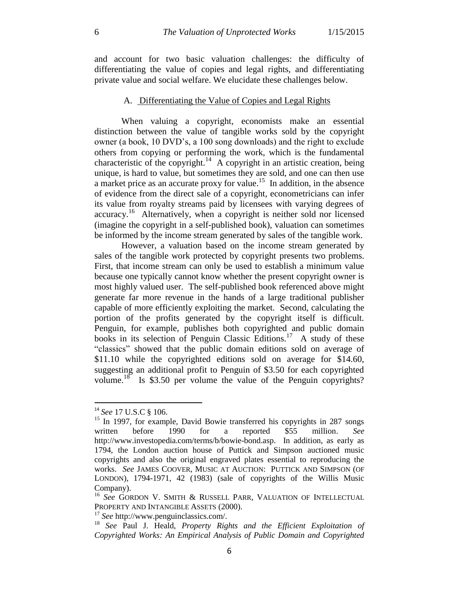and account for two basic valuation challenges: the difficulty of differentiating the value of copies and legal rights, and differentiating private value and social welfare. We elucidate these challenges below.

#### A. Differentiating the Value of Copies and Legal Rights

When valuing a copyright, economists make an essential distinction between the value of tangible works sold by the copyright owner (a book, 10 DVD's, a 100 song downloads) and the right to exclude others from copying or performing the work, which is the fundamental characteristic of the copyright.<sup>14</sup> A copyright in an artistic creation, being unique, is hard to value, but sometimes they are sold, and one can then use a market price as an accurate proxy for value.<sup>15</sup> In addition, in the absence of evidence from the direct sale of a copyright, econometricians can infer its value from royalty streams paid by licensees with varying degrees of accuracy.<sup>16</sup> Alternatively, when a copyright is neither sold nor licensed (imagine the copyright in a self-published book), valuation can sometimes be informed by the income stream generated by sales of the tangible work.

However, a valuation based on the income stream generated by sales of the tangible work protected by copyright presents two problems. First, that income stream can only be used to establish a minimum value because one typically cannot know whether the present copyright owner is most highly valued user. The self-published book referenced above might generate far more revenue in the hands of a large traditional publisher capable of more efficiently exploiting the market. Second, calculating the portion of the profits generated by the copyright itself is difficult. Penguin, for example, publishes both copyrighted and public domain books in its selection of Penguin Classic Editions.<sup>17</sup> A study of these "classics" showed that the public domain editions sold on average of \$11.10 while the copyrighted editions sold on average for \$14.60, suggesting an additional profit to Penguin of \$3.50 for each copyrighted volume.<sup>18</sup> Is \$3.50 per volume the value of the Penguin copyrights?

<sup>14</sup> *See* 17 U.S.C § 106.

<sup>&</sup>lt;sup>15</sup> In 1997, for example, David Bowie transferred his copyrights in 287 songs written before 1990 for a reported \$55 million. *See* http://www.investopedia.com/terms/b/bowie-bond.asp. In addition, as early as 1794, the London auction house of Puttick and Simpson auctioned music copyrights and also the original engraved plates essential to reproducing the works. *See* JAMES COOVER, MUSIC AT AUCTION: PUTTICK AND SIMPSON (OF LONDON), 1794-1971, 42 (1983) (sale of copyrights of the Willis Music Company).

<sup>&</sup>lt;sup>16</sup> See GORDON V. SMITH & RUSSELL PARR, VALUATION OF INTELLECTUAL PROPERTY AND INTANGIBLE ASSETS (2000).

<sup>17</sup> *See* http://www.penguinclassics.com/.

<sup>18</sup> *See* Paul J. Heald, *Property Rights and the Efficient Exploitation of Copyrighted Works: An Empirical Analysis of Public Domain and Copyrighted*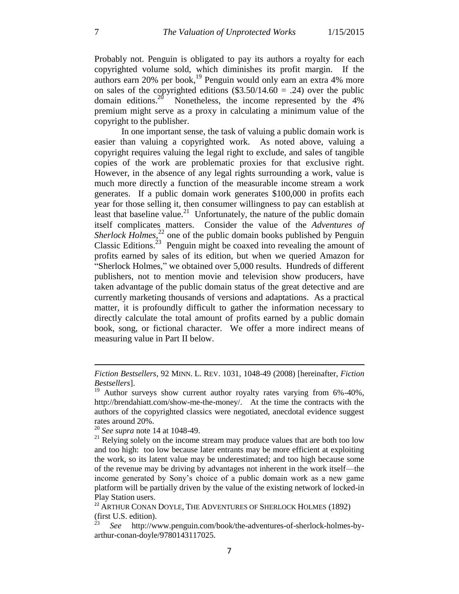Probably not. Penguin is obligated to pay its authors a royalty for each copyrighted volume sold, which diminishes its profit margin. If the authors earn  $20\%$  per book,<sup>19</sup> Penguin would only earn an extra 4% more on sales of the copyrighted editions  $(\$3.50/14.60 = .24)$  over the public domain editions.<sup>20</sup> Nonetheless, the income represented by the  $4\%$ premium might serve as a proxy in calculating a minimum value of the copyright to the publisher.

In one important sense, the task of valuing a public domain work is easier than valuing a copyrighted work. As noted above, valuing a copyright requires valuing the legal right to exclude, and sales of tangible copies of the work are problematic proxies for that exclusive right. However, in the absence of any legal rights surrounding a work, value is much more directly a function of the measurable income stream a work generates. If a public domain work generates \$100,000 in profits each year for those selling it, then consumer willingness to pay can establish at least that baseline value.<sup>21</sup> Unfortunately, the nature of the public domain itself complicates matters. Consider the value of the *Adventures of*  Sherlock Holmes,<sup>22</sup> one of the public domain books published by Penguin Classic Editions.<sup>23</sup> Penguin might be coaxed into revealing the amount of profits earned by sales of its edition, but when we queried Amazon for "Sherlock Holmes," we obtained over 5,000 results. Hundreds of different publishers, not to mention movie and television show producers, have taken advantage of the public domain status of the great detective and are currently marketing thousands of versions and adaptations. As a practical matter, it is profoundly difficult to gather the information necessary to directly calculate the total amount of profits earned by a public domain book, song, or fictional character. We offer a more indirect means of measuring value in Part II below.

*Fiction Bestsellers*, 92 MINN. L. REV. 1031, 1048-49 (2008) [hereinafter, *Fiction Bestsellers*].

<sup>&</sup>lt;sup>19</sup> Author surveys show current author royalty rates varying from 6%-40%, http://brendahiatt.com/show-me-the-money/. At the time the contracts with the authors of the copyrighted classics were negotiated, anecdotal evidence suggest rates around 20%.

<sup>20</sup> *See supra* note 14 at 1048-49.

 $21$  Relying solely on the income stream may produce values that are both too low and too high: too low because later entrants may be more efficient at exploiting the work, so its latent value may be underestimated; and too high because some of the revenue may be driving by advantages not inherent in the work itself—the income generated by Sony's choice of a public domain work as a new game platform will be partially driven by the value of the existing network of locked-in Play Station users.

 $^{22}$  ARTHUR CONAN DOYLE, THE ADVENTURES OF SHERLOCK HOLMES (1892) (first U.S. edition).

<sup>23</sup> *See* http://www.penguin.com/book/the-adventures-of-sherlock-holmes-byarthur-conan-doyle/9780143117025.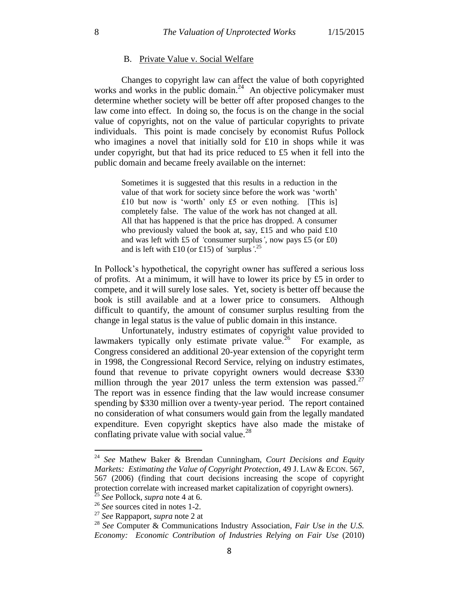#### B. Private Value v. Social Welfare

Changes to copyright law can affect the value of both copyrighted works and works in the public domain.<sup>24</sup> An objective policymaker must determine whether society will be better off after proposed changes to the law come into effect. In doing so, the focus is on the change in the social value of copyrights, not on the value of particular copyrights to private individuals. This point is made concisely by economist Rufus Pollock who imagines a novel that initially sold for £10 in shops while it was under copyright, but that had its price reduced to  $£5$  when it fell into the public domain and became freely available on the internet:

Sometimes it is suggested that this results in a reduction in the value of that work for society since before the work was 'worth' £10 but now is 'worth' only £5 or even nothing. [This is] completely false. The value of the work has not changed at all. All that has happened is that the price has dropped. A consumer who previously valued the book at, say, £15 and who paid £10 and was left with £5 of *'*consumer surplus*'*, now pays £5 (or £0) and is left with £10 (or £15) of *'*surplus*'*. 25

In Pollock's hypothetical, the copyright owner has suffered a serious loss of profits. At a minimum, it will have to lower its price by  $£5$  in order to compete, and it will surely lose sales. Yet, society is better off because the book is still available and at a lower price to consumers. Although difficult to quantify, the amount of consumer surplus resulting from the change in legal status is the value of public domain in this instance.

Unfortunately, industry estimates of copyright value provided to lawmakers typically only estimate private value.<sup>26</sup> For example, as Congress considered an additional 20-year extension of the copyright term in 1998, the Congressional Record Service, relying on industry estimates, found that revenue to private copyright owners would decrease \$330 million through the year 2017 unless the term extension was passed.<sup>27</sup> The report was in essence finding that the law would increase consumer spending by \$330 million over a twenty-year period. The report contained no consideration of what consumers would gain from the legally mandated expenditure. Even copyright skeptics have also made the mistake of conflating private value with social value.<sup>28</sup>

<sup>24</sup> *See* Mathew Baker & Brendan Cunningham, *Court Decisions and Equity Markets: Estimating the Value of Copyright Protection*, 49 J. LAW & ECON. 567, 567 (2006) (finding that court decisions increasing the scope of copyright protection correlate with increased market capitalization of copyright owners).

<sup>25</sup> *See* Pollock, *supra* note 4 at 6.

<sup>26</sup> *See* sources cited in notes 1-2.

<sup>27</sup> *See* Rappaport, *supra* note 2 at

<sup>28</sup> *See* Computer & Communications Industry Association, *Fair Use in the U.S. Economy: Economic Contribution of Industries Relying on Fair Use* (2010)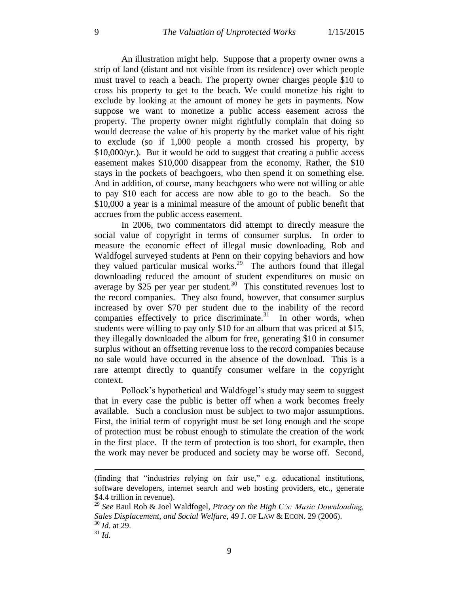An illustration might help. Suppose that a property owner owns a strip of land (distant and not visible from its residence) over which people must travel to reach a beach. The property owner charges people \$10 to cross his property to get to the beach. We could monetize his right to exclude by looking at the amount of money he gets in payments. Now suppose we want to monetize a public access easement across the property. The property owner might rightfully complain that doing so would decrease the value of his property by the market value of his right to exclude (so if 1,000 people a month crossed his property, by \$10,000/yr.). But it would be odd to suggest that creating a public access easement makes \$10,000 disappear from the economy. Rather, the \$10 stays in the pockets of beachgoers, who then spend it on something else. And in addition, of course, many beachgoers who were not willing or able to pay \$10 each for access are now able to go to the beach. So the \$10,000 a year is a minimal measure of the amount of public benefit that accrues from the public access easement.

In 2006, two commentators did attempt to directly measure the social value of copyright in terms of consumer surplus. In order to measure the economic effect of illegal music downloading, Rob and Waldfogel surveyed students at Penn on their copying behaviors and how they valued particular musical works. 29 The authors found that illegal downloading reduced the amount of student expenditures on music on average by \$25 per year per student.<sup>30</sup> This constituted revenues lost to the record companies. They also found, however, that consumer surplus increased by over \$70 per student due to the inability of the record companies effectively to price discriminate. $31$  In other words, when students were willing to pay only \$10 for an album that was priced at \$15, they illegally downloaded the album for free, generating \$10 in consumer surplus without an offsetting revenue loss to the record companies because no sale would have occurred in the absence of the download. This is a rare attempt directly to quantify consumer welfare in the copyright context.

Pollock's hypothetical and Waldfogel's study may seem to suggest that in every case the public is better off when a work becomes freely available. Such a conclusion must be subject to two major assumptions. First, the initial term of copyright must be set long enough and the scope of protection must be robust enough to stimulate the creation of the work in the first place. If the term of protection is too short, for example, then the work may never be produced and society may be worse off. Second,

<sup>(</sup>finding that "industries relying on fair use," e.g. educational institutions, software developers, internet search and web hosting providers, etc., generate \$4.4 trillion in revenue).

<sup>29</sup> *See* Raul Rob & Joel Waldfogel, *Piracy on the High C's: Music Downloading, Sales Displacement, and Social Welfare*, 49 J. OF LAW & ECON. 29 (2006). <sup>30</sup> *Id*. at 29.

<sup>31</sup> *Id*.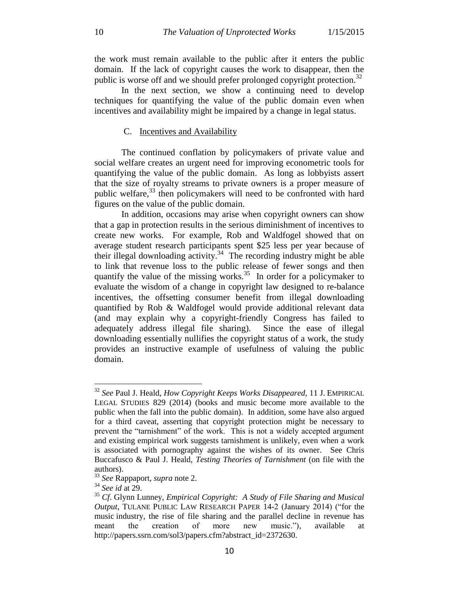the work must remain available to the public after it enters the public domain. If the lack of copyright causes the work to disappear, then the public is worse off and we should prefer prolonged copyright protection.<sup>32</sup>

In the next section, we show a continuing need to develop techniques for quantifying the value of the public domain even when incentives and availability might be impaired by a change in legal status.

#### C. Incentives and Availability

The continued conflation by policymakers of private value and social welfare creates an urgent need for improving econometric tools for quantifying the value of the public domain. As long as lobbyists assert that the size of royalty streams to private owners is a proper measure of public welfare,<sup>33</sup> then policymakers will need to be confronted with hard figures on the value of the public domain.

In addition, occasions may arise when copyright owners can show that a gap in protection results in the serious diminishment of incentives to create new works. For example, Rob and Waldfogel showed that on average student research participants spent \$25 less per year because of their illegal downloading activity.<sup>34</sup> The recording industry might be able to link that revenue loss to the public release of fewer songs and then quantify the value of the missing works.<sup>35</sup> In order for a policymaker to evaluate the wisdom of a change in copyright law designed to re-balance incentives, the offsetting consumer benefit from illegal downloading quantified by Rob & Waldfogel would provide additional relevant data (and may explain why a copyright-friendly Congress has failed to adequately address illegal file sharing). Since the ease of illegal downloading essentially nullifies the copyright status of a work, the study provides an instructive example of usefulness of valuing the public domain.

<sup>32</sup> *See* Paul J. Heald, *How Copyright Keeps Works Disappeared*, 11 J. EMPIRICAL LEGAL STUDIES 829 (2014) (books and music become more available to the public when the fall into the public domain). In addition, some have also argued for a third caveat, asserting that copyright protection might be necessary to prevent the "tarnishment" of the work. This is not a widely accepted argument and existing empirical work suggests tarnishment is unlikely, even when a work is associated with pornography against the wishes of its owner. See Chris Buccafusco & Paul J. Heald, *Testing Theories of Tarnishment* (on file with the authors).

<sup>33</sup> *See* Rappaport, *supra* note 2.

<sup>34</sup> *See id* at 29.

<sup>35</sup> *Cf*. Glynn Lunney, *Empirical Copyright: A Study of File Sharing and Musical Output*, TULANE PUBLIC LAW RESEARCH PAPER 14-2 (January 2014) ("for the music industry, the rise of file sharing and the parallel decline in revenue has meant the creation of more new music."), available at http://papers.ssrn.com/sol3/papers.cfm?abstract\_id=2372630.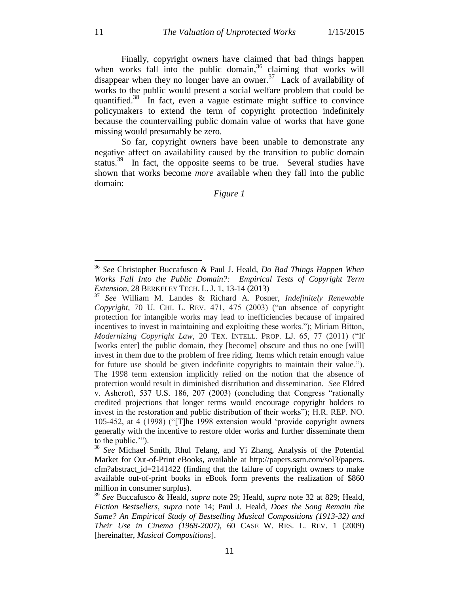Finally, copyright owners have claimed that bad things happen when works fall into the public domain,  $36$  claiming that works will disappear when they no longer have an owner.<sup>37</sup> Lack of availability of works to the public would present a social welfare problem that could be quantified. $38$  In fact, even a vague estimate might suffice to convince policymakers to extend the term of copyright protection indefinitely because the countervailing public domain value of works that have gone missing would presumably be zero.

So far, copyright owners have been unable to demonstrate any negative affect on availability caused by the transition to public domain status.<sup>39</sup> In fact, the opposite seems to be true. Several studies have shown that works become *more* available when they fall into the public domain:

## *Figure 1*

<sup>36</sup> *See* Christopher Buccafusco & Paul J. Heald, *Do Bad Things Happen When Works Fall Into the Public Domain?: Empirical Tests of Copyright Term Extension*, 28 BERKELEY TECH. L. J. 1, 13-14 (2013)

<sup>37</sup> *See* William M. Landes & Richard A. Posner, *Indefinitely Renewable Copyright*, 70 U. CHI. L. REV. 471, 475 (2003) ("an absence of copyright protection for intangible works may lead to inefficiencies because of impaired incentives to invest in maintaining and exploiting these works."); Miriam Bitton, *Modernizing Copyright Law*, 20 TEX. INTELL. PROP. LJ. 65, 77 (2011) ("If [works enter] the public domain, they [become] obscure and thus no one [will] invest in them due to the problem of free riding. Items which retain enough value for future use should be given indefinite copyrights to maintain their value."). The 1998 term extension implicitly relied on the notion that the absence of protection would result in diminished distribution and dissemination. *See* Eldred v. Ashcroft, 537 U.S. 186, 207 (2003) (concluding that Congress "rationally credited projections that longer terms would encourage copyright holders to invest in the restoration and public distribution of their works"); H.R. REP. NO. 105-452, at 4 (1998) ("[T]he 1998 extension would 'provide copyright owners generally with the incentive to restore older works and further disseminate them to the public.'").

<sup>&</sup>lt;sup>38</sup> *See* Michael Smith, Rhul Telang, and Yi Zhang, Analysis of the Potential Market for Out-of-Print eBooks, available at http://papers.ssrn.com/sol3/papers. cfm?abstract\_id=2141422 (finding that the failure of copyright owners to make available out-of-print books in eBook form prevents the realization of \$860 million in consumer surplus).

<sup>39</sup> *See* Buccafusco & Heald, *supra* note 29; Heald, *supra* note 32 at 829; Heald, *Fiction Bestsellers*, *supra* note 14; Paul J. Heald, *Does the Song Remain the Same? An Empirical Study of Bestselling Musical Compositions (1913-32) and Their Use in Cinema (1968-2007)*, 60 CASE W. RES. L. REV. 1 (2009) [hereinafter, *Musical Compositions*].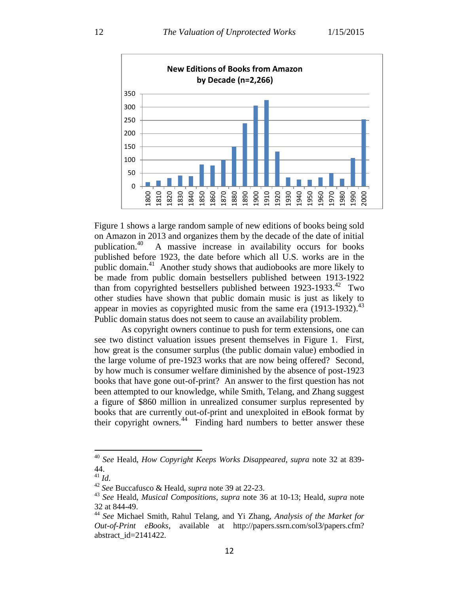

Figure 1 shows a large random sample of new editions of books being sold on Amazon in 2013 and organizes them by the decade of the date of initial publication.<sup>40</sup> A massive increase in availability occurs for books published before 1923, the date before which all U.S. works are in the public domain.<sup>41</sup> Another study shows that audiobooks are more likely to be made from public domain bestsellers published between 1913-1922 than from copyrighted bestsellers published between 1923-1933.<sup>42</sup> Two other studies have shown that public domain music is just as likely to appear in movies as copyrighted music from the same era  $(1913-1932)$ .<sup>43</sup> Public domain status does not seem to cause an availability problem.

As copyright owners continue to push for term extensions, one can see two distinct valuation issues present themselves in Figure 1. First, how great is the consumer surplus (the public domain value) embodied in the large volume of pre-1923 works that are now being offered? Second, by how much is consumer welfare diminished by the absence of post-1923 books that have gone out-of-print? An answer to the first question has not been attempted to our knowledge, while Smith, Telang, and Zhang suggest a figure of \$860 million in unrealized consumer surplus represented by books that are currently out-of-print and unexploited in eBook format by their copyright owners.<sup>44</sup> Finding hard numbers to better answer these

<sup>40</sup> *See* Heald, *How Copyright Keeps Works Disappeared*, *supra* note 32 at 839- 44.

<sup>41</sup> *Id*.

<sup>42</sup> *See* Buccafusco & Heald, *supra* note 39 at 22-23.

<sup>43</sup> *See* Heald, *Musical Compositions*, *supra* note 36 at 10-13; Heald, *supra* note 32 at 844-49.

<sup>44</sup> *See* Michael Smith, Rahul Telang, and Yi Zhang, *Analysis of the Market for Out-of-Print eBooks*, available at http://papers.ssrn.com/sol3/papers.cfm? abstract\_id=2141422.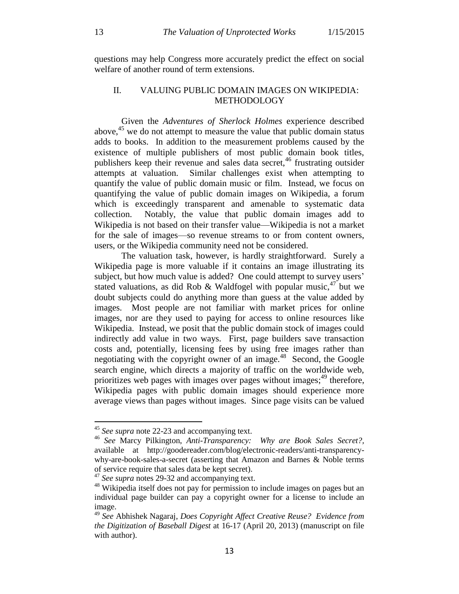questions may help Congress more accurately predict the effect on social welfare of another round of term extensions.

## II. VALUING PUBLIC DOMAIN IMAGES ON WIKIPEDIA: METHODOLOGY

Given the *Adventures of Sherlock Holmes* experience described above,<sup>45</sup> we do not attempt to measure the value that public domain status adds to books. In addition to the measurement problems caused by the existence of multiple publishers of most public domain book titles, publishers keep their revenue and sales data secret,<sup>46</sup> frustrating outsider attempts at valuation. Similar challenges exist when attempting to quantify the value of public domain music or film. Instead, we focus on quantifying the value of public domain images on Wikipedia, a forum which is exceedingly transparent and amenable to systematic data collection. Notably, the value that public domain images add to Wikipedia is not based on their transfer value—Wikipedia is not a market for the sale of images—so revenue streams to or from content owners, users, or the Wikipedia community need not be considered.

The valuation task, however, is hardly straightforward. Surely a Wikipedia page is more valuable if it contains an image illustrating its subject, but how much value is added? One could attempt to survey users' stated valuations, as did Rob & Waldfogel with popular music,  $47$  but we doubt subjects could do anything more than guess at the value added by images. Most people are not familiar with market prices for online images, nor are they used to paying for access to online resources like Wikipedia. Instead, we posit that the public domain stock of images could indirectly add value in two ways. First, page builders save transaction costs and, potentially, licensing fees by using free images rather than negotiating with the copyright owner of an image.<sup>48</sup> Second, the Google search engine, which directs a majority of traffic on the worldwide web, prioritizes web pages with images over pages without images;<sup>49</sup> therefore, Wikipedia pages with public domain images should experience more average views than pages without images. Since page visits can be valued

<sup>&</sup>lt;sup>45</sup> See supra note 22-23 and accompanying text.

<sup>46</sup> *See* Marcy Pilkington, *Anti-Transparency: Why are Book Sales Secret?,* available at http://goodereader.com/blog/electronic-readers/anti-transparencywhy-are-book-sales-a-secret (asserting that Amazon and Barnes & Noble terms of service require that sales data be kept secret).

<sup>&</sup>lt;sup>47</sup> *See supra* notes 29-32 and accompanying text.

<sup>&</sup>lt;sup>48</sup> Wikipedia itself does not pay for permission to include images on pages but an individual page builder can pay a copyright owner for a license to include an image.

<sup>49</sup> *See* Abhishek Nagaraj, *Does Copyright Affect Creative Reuse? Evidence from the Digitization of Baseball Digest* at 16-17 (April 20, 2013) (manuscript on file with author).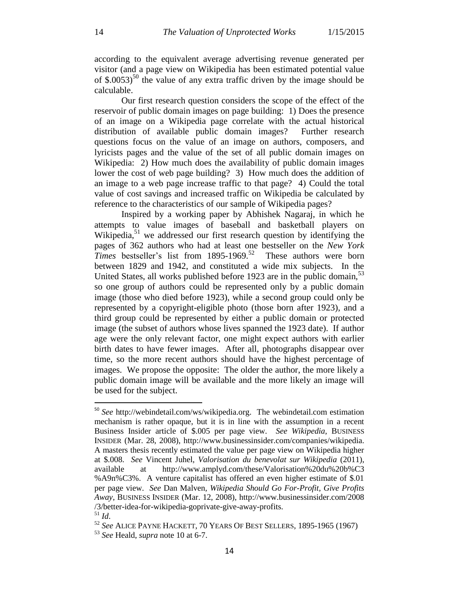according to the equivalent average advertising revenue generated per visitor (and a page view on Wikipedia has been estimated potential value of  $$.0053$ <sup>50</sup> the value of any extra traffic driven by the image should be calculable.

Our first research question considers the scope of the effect of the reservoir of public domain images on page building: 1) Does the presence of an image on a Wikipedia page correlate with the actual historical distribution of available public domain images? Further research questions focus on the value of an image on authors, composers, and lyricists pages and the value of the set of all public domain images on Wikipedia: 2) How much does the availability of public domain images lower the cost of web page building? 3) How much does the addition of an image to a web page increase traffic to that page? 4) Could the total value of cost savings and increased traffic on Wikipedia be calculated by reference to the characteristics of our sample of Wikipedia pages?

Inspired by a working paper by Abhishek Nagaraj, in which he attempts to value images of baseball and basketball players on Wikipedia,<sup>51</sup> we addressed our first research question by identifying the pages of 362 authors who had at least one bestseller on the *New York Times* bestseller's list from 1895-1969.<sup>52</sup> These authors were born between 1829 and 1942, and constituted a wide mix subjects. In the United States, all works published before 1923 are in the public domain,  $53$ so one group of authors could be represented only by a public domain image (those who died before 1923), while a second group could only be represented by a copyright-eligible photo (those born after 1923), and a third group could be represented by either a public domain or protected image (the subset of authors whose lives spanned the 1923 date). If author age were the only relevant factor, one might expect authors with earlier birth dates to have fewer images. After all, photographs disappear over time, so the more recent authors should have the highest percentage of images. We propose the opposite: The older the author, the more likely a public domain image will be available and the more likely an image will be used for the subject.

<sup>50</sup> *See* http://webindetail.com/ws/wikipedia.org. The webindetail.com estimation mechanism is rather opaque, but it is in line with the assumption in a recent Business Insider article of \$.005 per page view. *See Wikipedia*, BUSINESS INSIDER (Mar. 28, 2008), http://www.businessinsider.com/companies/wikipedia. A masters thesis recently estimated the value per page view on Wikipedia higher at \$.008. *See* Vincent Juhel, *Valorisation du benevolat sur Wikipedia* (2011), available at http://www.amplyd.com/these/Valorisation%20du%20b%C3 %A9n%C3%. A venture capitalist has offered an even higher estimate of \$.01 per page view. *See* Dan Malven, *Wikipedia Should Go For-Profit, Give Profits Away*, BUSINESS INSIDER (Mar. 12, 2008), http://www.businessinsider.com/2008 /3/better-idea-for-wikipedia-goprivate-give-away-profits. <sup>51</sup> *Id*.

<sup>52</sup> *See* ALICE PAYNE HACKETT, 70 YEARS OF BEST SELLERS, 1895-1965 (1967) <sup>53</sup> *See* Heald, *supra* note 10 at 6-7.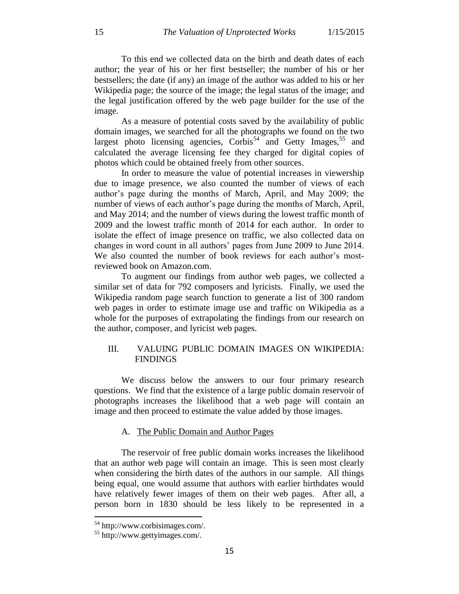To this end we collected data on the birth and death dates of each author; the year of his or her first bestseller; the number of his or her bestsellers; the date (if any) an image of the author was added to his or her Wikipedia page; the source of the image; the legal status of the image; and the legal justification offered by the web page builder for the use of the image.

As a measure of potential costs saved by the availability of public domain images, we searched for all the photographs we found on the two largest photo licensing agencies,  $Corbis<sup>54</sup>$  and Getty Images,<sup>55</sup> and calculated the average licensing fee they charged for digital copies of photos which could be obtained freely from other sources.

In order to measure the value of potential increases in viewership due to image presence, we also counted the number of views of each author's page during the months of March, April, and May 2009; the number of views of each author's page during the months of March, April, and May 2014; and the number of views during the lowest traffic month of 2009 and the lowest traffic month of 2014 for each author. In order to isolate the effect of image presence on traffic, we also collected data on changes in word count in all authors' pages from June 2009 to June 2014. We also counted the number of book reviews for each author's mostreviewed book on Amazon.com.

To augment our findings from author web pages, we collected a similar set of data for 792 composers and lyricists. Finally, we used the Wikipedia random page search function to generate a list of 300 random web pages in order to estimate image use and traffic on Wikipedia as a whole for the purposes of extrapolating the findings from our research on the author, composer, and lyricist web pages.

## III. VALUING PUBLIC DOMAIN IMAGES ON WIKIPEDIA: FINDINGS

We discuss below the answers to our four primary research questions. We find that the existence of a large public domain reservoir of photographs increases the likelihood that a web page will contain an image and then proceed to estimate the value added by those images.

#### A. The Public Domain and Author Pages

The reservoir of free public domain works increases the likelihood that an author web page will contain an image. This is seen most clearly when considering the birth dates of the authors in our sample. All things being equal, one would assume that authors with earlier birthdates would have relatively fewer images of them on their web pages. After all, a person born in 1830 should be less likely to be represented in a

<sup>54</sup> http://www.corbisimages.com/.

<sup>55</sup> http://www.gettyimages.com/.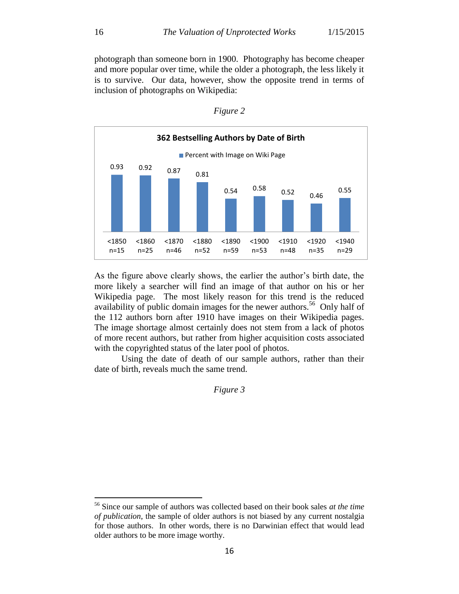photograph than someone born in 1900. Photography has become cheaper and more popular over time, while the older a photograph, the less likely it is to survive. Our data, however, show the opposite trend in terms of inclusion of photographs on Wikipedia:



*Figure 2*

As the figure above clearly shows, the earlier the author's birth date, the more likely a searcher will find an image of that author on his or her Wikipedia page. The most likely reason for this trend is the reduced availability of public domain images for the newer authors.<sup>56</sup> Only half of the 112 authors born after 1910 have images on their Wikipedia pages. The image shortage almost certainly does not stem from a lack of photos of more recent authors, but rather from higher acquisition costs associated with the copyrighted status of the later pool of photos.

Using the date of death of our sample authors, rather than their date of birth, reveals much the same trend.

*Figure 3*

<sup>56</sup> Since our sample of authors was collected based on their book sales *at the time of publication*, the sample of older authors is not biased by any current nostalgia for those authors. In other words, there is no Darwinian effect that would lead older authors to be more image worthy.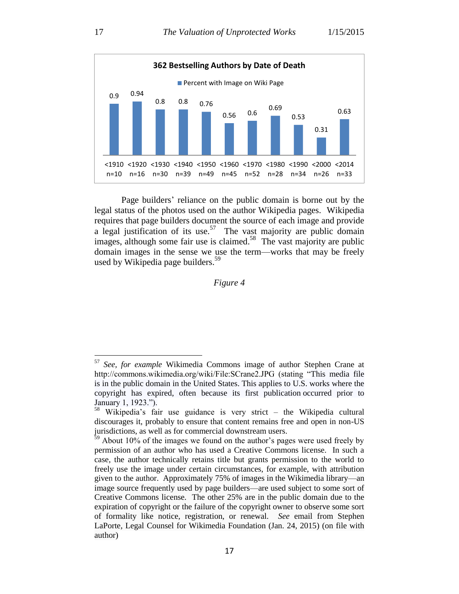

Page builders' reliance on the public domain is borne out by the legal status of the photos used on the author Wikipedia pages. Wikipedia requires that page builders document the source of each image and provide a legal justification of its use.<sup>57</sup> The vast majority are public domain images, although some fair use is claimed.<sup>58</sup> The vast majority are public domain images in the sense we use the term—works that may be freely used by Wikipedia page builders.<sup>59</sup>

### *Figure 4*

<sup>57</sup> *See, for example* Wikimedia Commons image of author Stephen Crane at http://commons.wikimedia.org/wiki/File:SCrane2.JPG (stating "This media file is in the [public domain](http://en.wikipedia.org/wiki/public_domain) in the [United States.](http://commons.wikimedia.org/wiki/United_States) This applies to U.S. works where the copyright has expired, often because its first [publication](http://en.wikipedia.org/wiki/publication) occurred prior to January 1, 1923.").

<sup>58</sup> Wikipedia's fair use guidance is very strict – the Wikipedia cultural discourages it, probably to ensure that content remains free and open in non-US jurisdictions, as well as for commercial downstream users.

 $59$  About 10% of the images we found on the author's pages were used freely by permission of an author who has used a Creative Commons license. In such a case, the author technically retains title but grants permission to the world to freely use the image under certain circumstances, for example, with attribution given to the author. Approximately 75% of images in the Wikimedia library—an image source frequently used by page builders—are used subject to some sort of Creative Commons license. The other 25% are in the public domain due to the expiration of copyright or the failure of the copyright owner to observe some sort of formality like notice, registration, or renewal. *See* email from Stephen LaPorte, Legal Counsel for Wikimedia Foundation (Jan. 24, 2015) (on file with author)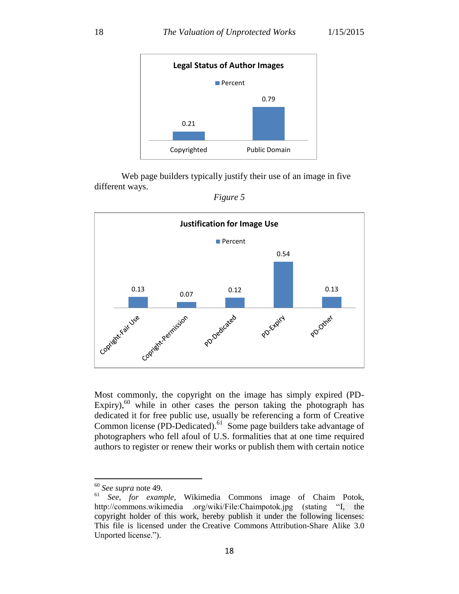

Web page builders typically justify their use of an image in five different ways.



*Figure 5*

Most commonly, the copyright on the image has simply expired (PD-Expiry), $60$  while in other cases the person taking the photograph has dedicated it for free public use, usually be referencing a form of Creative Common license (PD-Dedicated). $^{61}$  Some page builders take advantage of photographers who fell afoul of U.S. formalities that at one time required authors to register or renew their works or publish them with certain notice

 $^{60}$  *See supra* note 49.

<sup>61</sup> *See*, *for example*, Wikimedia Commons image of Chaim Potok, http://commons.wikimedia .org/wiki/File:Chaimpotok.jpg (stating "I, the copyright holder of this work, hereby publish it under the following licenses: This file is licensed under the [Creative Commons](http://en.wikipedia.org/wiki/en:Creative_Commons) [Attribution-Share Alike 3.0](http://creativecommons.org/licenses/by-sa/3.0/deed.en)  [Unported](http://creativecommons.org/licenses/by-sa/3.0/deed.en) license.").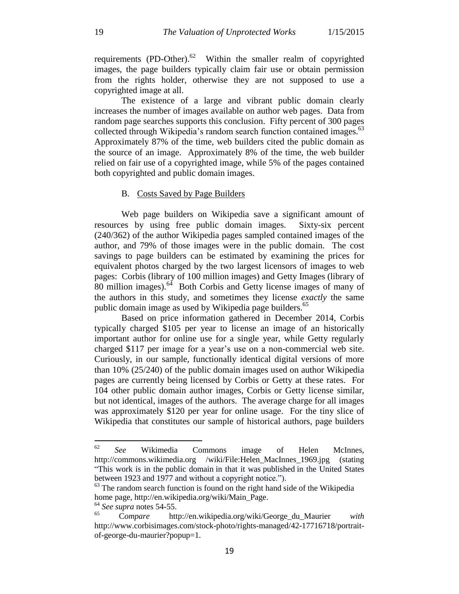requirements (PD-Other). $62$  Within the smaller realm of copyrighted images, the page builders typically claim fair use or obtain permission from the rights holder, otherwise they are not supposed to use a copyrighted image at all.

The existence of a large and vibrant public domain clearly increases the number of images available on author web pages. Data from random page searches supports this conclusion. Fifty percent of 300 pages collected through Wikipedia's random search function contained images.<sup>63</sup> Approximately 87% of the time, web builders cited the public domain as the source of an image. Approximately 8% of the time, the web builder relied on fair use of a copyrighted image, while 5% of the pages contained both copyrighted and public domain images.

#### B. Costs Saved by Page Builders

Web page builders on Wikipedia save a significant amount of resources by using free public domain images. Sixty-six percent (240/362) of the author Wikipedia pages sampled contained images of the author, and 79% of those images were in the public domain. The cost savings to page builders can be estimated by examining the prices for equivalent photos charged by the two largest licensors of images to web pages: Corbis (library of 100 million images) and Getty Images (library of  $80$  million images).<sup>64</sup> Both Corbis and Getty license images of many of the authors in this study, and sometimes they license *exactly* the same public domain image as used by Wikipedia page builders.<sup>65</sup>

Based on price information gathered in December 2014, Corbis typically charged \$105 per year to license an image of an historically important author for online use for a single year, while Getty regularly charged \$117 per image for a year's use on a non-commercial web site. Curiously, in our sample, functionally identical digital versions of more than 10% (25/240) of the public domain images used on author Wikipedia pages are currently being licensed by Corbis or Getty at these rates. For 104 other public domain author images, Corbis or Getty license similar, but not identical, images of the authors. The average charge for all images was approximately \$120 per year for online usage. For the tiny slice of Wikipedia that constitutes our sample of historical authors, page builders

<sup>62</sup> <sup>62</sup> *See* Wikimedia Commons image of Helen McInnes, http://commons.wikimedia.org /wiki/File:Helen\_MacInnes\_1969.jpg (stating "This work is in the [public domain](http://en.wikipedia.org/wiki/public_domain) in that it was [published](http://en.wikipedia.org/wiki/publication) in the United States between 1923 and 1977 and without a copyright notice.").

 $63$  The random search function is found on the right hand side of the Wikipedia home page, http://en.wikipedia.org/wiki/Main\_Page.

 $^{64}_{65}$  *See supra* notes 54-55.

<sup>65</sup> C*ompare* http://en.wikipedia.org/wiki/George\_du\_Maurier *with* http://www.corbisimages.com/stock-photo/rights-managed/42-17716718/portraitof-george-du-maurier?popup=1.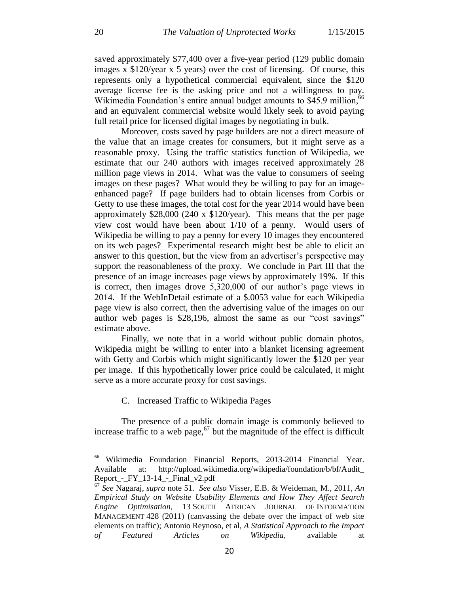saved approximately \$77,400 over a five-year period (129 public domain images x \$120/year x 5 years) over the cost of licensing. Of course, this represents only a hypothetical commercial equivalent, since the \$120 average license fee is the asking price and not a willingness to pay. Wikimedia Foundation's entire annual budget amounts to \$45.9 million,<sup>66</sup> and an equivalent commercial website would likely seek to avoid paying full retail price for licensed digital images by negotiating in bulk.

Moreover, costs saved by page builders are not a direct measure of the value that an image creates for consumers, but it might serve as a reasonable proxy. Using the traffic statistics function of Wikipedia, we estimate that our 240 authors with images received approximately 28 million page views in 2014. What was the value to consumers of seeing images on these pages? What would they be willing to pay for an imageenhanced page? If page builders had to obtain licenses from Corbis or Getty to use these images, the total cost for the year 2014 would have been approximately \$28,000 (240 x \$120/year). This means that the per page view cost would have been about 1/10 of a penny. Would users of Wikipedia be willing to pay a penny for every 10 images they encountered on its web pages? Experimental research might best be able to elicit an answer to this question, but the view from an advertiser's perspective may support the reasonableness of the proxy. We conclude in Part III that the presence of an image increases page views by approximately 19%. If this is correct, then images drove 5,320,000 of our author's page views in 2014. If the WebInDetail estimate of a \$.0053 value for each Wikipedia page view is also correct, then the advertising value of the images on our author web pages is \$28,196, almost the same as our "cost savings" estimate above.

Finally, we note that in a world without public domain photos, Wikipedia might be willing to enter into a blanket licensing agreement with Getty and Corbis which might significantly lower the \$120 per year per image. If this hypothetically lower price could be calculated, it might serve as a more accurate proxy for cost savings.

#### C. Increased Traffic to Wikipedia Pages

The presence of a public domain image is commonly believed to increase traffic to a web page,  $67$  but the magnitude of the effect is difficult

<sup>66</sup> Wikimedia Foundation Financial Reports, 2013-2014 Financial Year. Available at: http://upload.wikimedia.org/wikipedia/foundation/b/bf/Audit\_ Report\_-\_FY\_13-14\_-\_Final\_v2.pdf

<sup>67</sup> *See* Nagaraj, *supra* note 51. *See also* Visser, E.B. & Weideman, M., 2011, *An Empirical Study on Website Usability Elements and How They Affect Search Engine Optimisation*, 13 SOUTH AFRICAN JOURNAL OF INFORMATION MANAGEMENT 428 (2011) (canvassing the debate over the impact of web site elements on traffic); Antonio Reynoso, et al, *A Statistical Approach to the Impact of Featured Articles on Wikipedia*, available at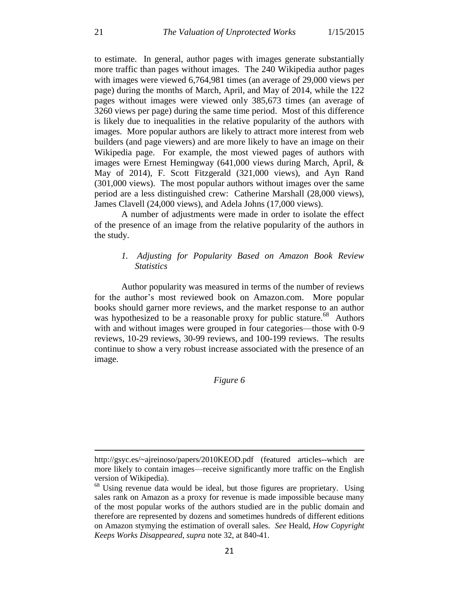to estimate. In general, author pages with images generate substantially more traffic than pages without images. The 240 Wikipedia author pages with images were viewed 6,764,981 times (an average of 29,000 views per page) during the months of March, April, and May of 2014, while the 122 pages without images were viewed only 385,673 times (an average of 3260 views per page) during the same time period. Most of this difference is likely due to inequalities in the relative popularity of the authors with images. More popular authors are likely to attract more interest from web builders (and page viewers) and are more likely to have an image on their Wikipedia page. For example, the most viewed pages of authors with images were Ernest Hemingway (641,000 views during March, April, & May of 2014), F. Scott Fitzgerald (321,000 views), and Ayn Rand (301,000 views). The most popular authors without images over the same period are a less distinguished crew: Catherine Marshall (28,000 views), James Clavell (24,000 views), and Adela Johns (17,000 views).

A number of adjustments were made in order to isolate the effect of the presence of an image from the relative popularity of the authors in the study.

## *1. Adjusting for Popularity Based on Amazon Book Review Statistics*

Author popularity was measured in terms of the number of reviews for the author's most reviewed book on Amazon.com. More popular books should garner more reviews, and the market response to an author was hypothesized to be a reasonable proxy for public stature.<sup>68</sup> Authors with and without images were grouped in four categories—those with 0-9 reviews, 10-29 reviews, 30-99 reviews, and 100-199 reviews. The results continue to show a very robust increase associated with the presence of an image.

## *Figure 6*

http://gsyc.es/~ajreinoso/papers/2010KEOD.pdf (featured articles--which are more likely to contain images—receive significantly more traffic on the English version of Wikipedia).

 $68$  Using revenue data would be ideal, but those figures are proprietary. Using sales rank on Amazon as a proxy for revenue is made impossible because many of the most popular works of the authors studied are in the public domain and therefore are represented by dozens and sometimes hundreds of different editions on Amazon stymying the estimation of overall sales. *See* Heald, *How Copyright Keeps Works Disappeared*, *supra* note 32, at 840-41.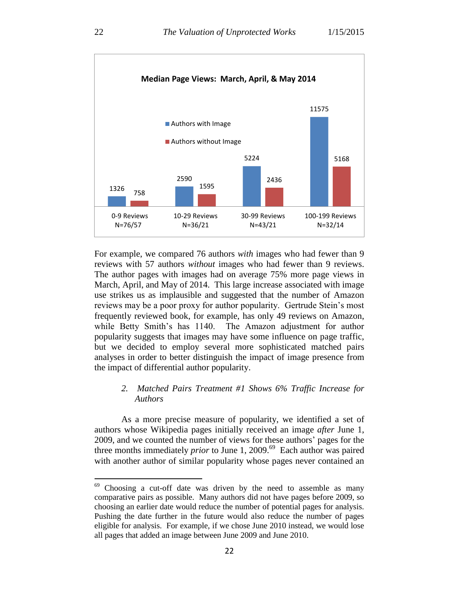

For example, we compared 76 authors *with* images who had fewer than 9 reviews with 57 authors *without* images who had fewer than 9 reviews. The author pages with images had on average 75% more page views in March, April, and May of 2014. This large increase associated with image use strikes us as implausible and suggested that the number of Amazon reviews may be a poor proxy for author popularity. Gertrude Stein's most frequently reviewed book, for example, has only 49 reviews on Amazon, while Betty Smith's has 1140. The Amazon adjustment for author popularity suggests that images may have some influence on page traffic, but we decided to employ several more sophisticated matched pairs analyses in order to better distinguish the impact of image presence from the impact of differential author popularity.

## *2. Matched Pairs Treatment #1 Shows 6% Traffic Increase for Authors*

As a more precise measure of popularity, we identified a set of authors whose Wikipedia pages initially received an image *after* June 1, 2009, and we counted the number of views for these authors' pages for the three months immediately *prior* to June 1, 2009. 69 Each author was paired with another author of similar popularity whose pages never contained an

<sup>&</sup>lt;sup>69</sup> Choosing a cut-off date was driven by the need to assemble as many comparative pairs as possible. Many authors did not have pages before 2009, so choosing an earlier date would reduce the number of potential pages for analysis. Pushing the date further in the future would also reduce the number of pages eligible for analysis. For example, if we chose June 2010 instead, we would lose all pages that added an image between June 2009 and June 2010.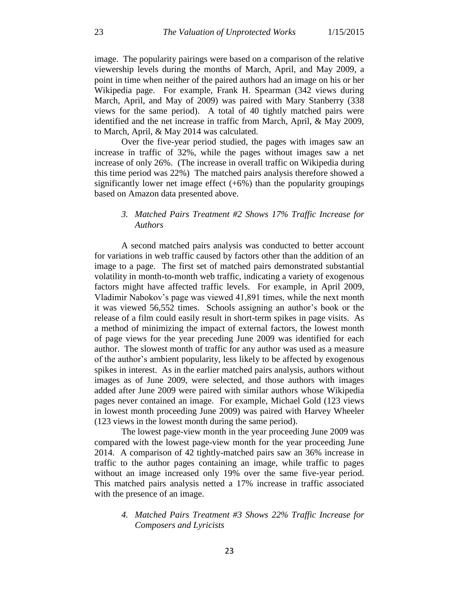image. The popularity pairings were based on a comparison of the relative viewership levels during the months of March, April, and May 2009, a point in time when neither of the paired authors had an image on his or her Wikipedia page. For example, Frank H. Spearman (342 views during March, April, and May of 2009) was paired with Mary Stanberry (338 views for the same period). A total of 40 tightly matched pairs were identified and the net increase in traffic from March, April, & May 2009, to March, April, & May 2014 was calculated.

Over the five-year period studied, the pages with images saw an increase in traffic of 32%, while the pages without images saw a net increase of only 26%. (The increase in overall traffic on Wikipedia during this time period was 22%) The matched pairs analysis therefore showed a significantly lower net image effect  $(+6%)$  than the popularity groupings based on Amazon data presented above.

## *3. Matched Pairs Treatment #2 Shows 17% Traffic Increase for Authors*

A second matched pairs analysis was conducted to better account for variations in web traffic caused by factors other than the addition of an image to a page. The first set of matched pairs demonstrated substantial volatility in month-to-month web traffic, indicating a variety of exogenous factors might have affected traffic levels. For example, in April 2009, Vladimir Nabokov's page was viewed 41,891 times, while the next month it was viewed 56,552 times. Schools assigning an author's book or the release of a film could easily result in short-term spikes in page visits. As a method of minimizing the impact of external factors, the lowest month of page views for the year preceding June 2009 was identified for each author. The slowest month of traffic for any author was used as a measure of the author's ambient popularity, less likely to be affected by exogenous spikes in interest. As in the earlier matched pairs analysis, authors without images as of June 2009, were selected, and those authors with images added after June 2009 were paired with similar authors whose Wikipedia pages never contained an image. For example, Michael Gold (123 views in lowest month proceeding June 2009) was paired with Harvey Wheeler (123 views in the lowest month during the same period).

The lowest page-view month in the year proceeding June 2009 was compared with the lowest page-view month for the year proceeding June 2014. A comparison of 42 tightly-matched pairs saw an 36% increase in traffic to the author pages containing an image, while traffic to pages without an image increased only 19% over the same five-year period. This matched pairs analysis netted a 17% increase in traffic associated with the presence of an image.

### *4. Matched Pairs Treatment #3 Shows 22% Traffic Increase for Composers and Lyricists*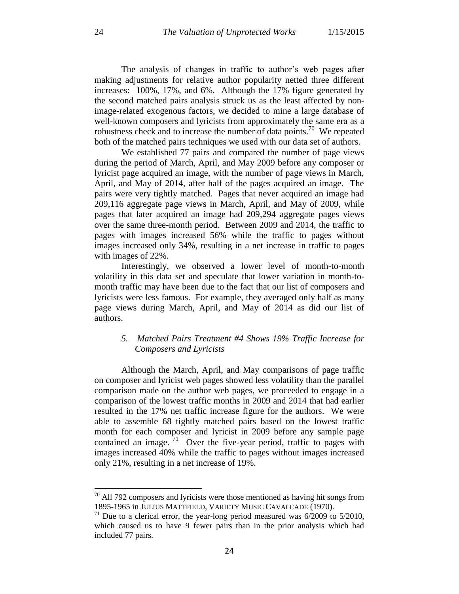The analysis of changes in traffic to author's web pages after making adjustments for relative author popularity netted three different increases: 100%, 17%, and 6%. Although the 17% figure generated by the second matched pairs analysis struck us as the least affected by nonimage-related exogenous factors, we decided to mine a large database of well-known composers and lyricists from approximately the same era as a robustness check and to increase the number of data points.<sup>70</sup> We repeated both of the matched pairs techniques we used with our data set of authors.

We established 77 pairs and compared the number of page views during the period of March, April, and May 2009 before any composer or lyricist page acquired an image, with the number of page views in March, April, and May of 2014, after half of the pages acquired an image. The pairs were very tightly matched. Pages that never acquired an image had 209,116 aggregate page views in March, April, and May of 2009, while pages that later acquired an image had 209,294 aggregate pages views over the same three-month period. Between 2009 and 2014, the traffic to pages with images increased 56% while the traffic to pages without images increased only 34%, resulting in a net increase in traffic to pages with images of 22%.

Interestingly, we observed a lower level of month-to-month volatility in this data set and speculate that lower variation in month-tomonth traffic may have been due to the fact that our list of composers and lyricists were less famous. For example, they averaged only half as many page views during March, April, and May of 2014 as did our list of authors.

## *5. Matched Pairs Treatment #4 Shows 19% Traffic Increase for Composers and Lyricists*

Although the March, April, and May comparisons of page traffic on composer and lyricist web pages showed less volatility than the parallel comparison made on the author web pages, we proceeded to engage in a comparison of the lowest traffic months in 2009 and 2014 that had earlier resulted in the 17% net traffic increase figure for the authors. We were able to assemble 68 tightly matched pairs based on the lowest traffic month for each composer and lyricist in 2009 before any sample page contained an image.  $71$  Over the five-year period, traffic to pages with images increased 40% while the traffic to pages without images increased only 21%, resulting in a net increase of 19%.

 $70$  All 792 composers and lyricists were those mentioned as having hit songs from 1895-1965 in JULIUS MATTFIELD, VARIETY MUSIC CAVALCADE (1970).

 $71$  Due to a clerical error, the year-long period measured was  $6/2009$  to  $5/2010$ , which caused us to have 9 fewer pairs than in the prior analysis which had included 77 pairs.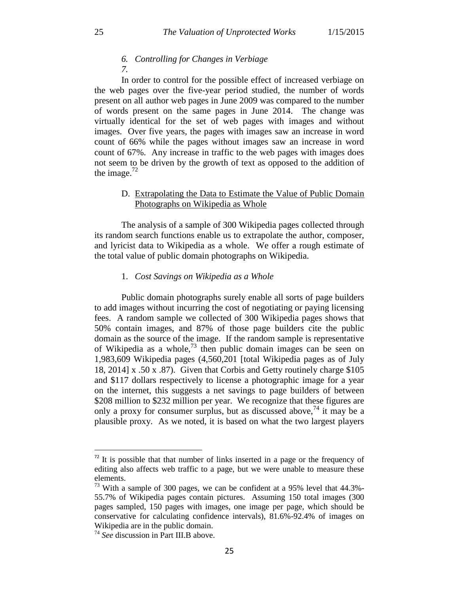# *6. Controlling for Changes in Verbiage*

*7.*

In order to control for the possible effect of increased verbiage on the web pages over the five-year period studied, the number of words present on all author web pages in June 2009 was compared to the number of words present on the same pages in June 2014. The change was virtually identical for the set of web pages with images and without images. Over five years, the pages with images saw an increase in word count of 66% while the pages without images saw an increase in word count of 67%. Any increase in traffic to the web pages with images does not seem to be driven by the growth of text as opposed to the addition of the image. $^{72}$ 

### D. Extrapolating the Data to Estimate the Value of Public Domain Photographs on Wikipedia as Whole

The analysis of a sample of 300 Wikipedia pages collected through its random search functions enable us to extrapolate the author, composer, and lyricist data to Wikipedia as a whole. We offer a rough estimate of the total value of public domain photographs on Wikipedia.

#### 1. *Cost Savings on Wikipedia as a Whole*

Public domain photographs surely enable all sorts of page builders to add images without incurring the cost of negotiating or paying licensing fees. A random sample we collected of 300 Wikipedia pages shows that 50% contain images, and 87% of those page builders cite the public domain as the source of the image. If the random sample is representative of Wikipedia as a whole,<sup>73</sup> then public domain images can be seen on 1,983,609 Wikipedia pages (4,560,201 [total Wikipedia pages as of July 18, 2014] x .50 x .87). Given that Corbis and Getty routinely charge \$105 and \$117 dollars respectively to license a photographic image for a year on the internet, this suggests a net savings to page builders of between \$208 million to \$232 million per year. We recognize that these figures are only a proxy for consumer surplus, but as discussed above,  $^{74}$  it may be a plausible proxy. As we noted, it is based on what the two largest players

 $72$  It is possible that that number of links inserted in a page or the frequency of editing also affects web traffic to a page, but we were unable to measure these elements.

 $73$  With a sample of 300 pages, we can be confident at a 95% level that 44.3%-55.7% of Wikipedia pages contain pictures. Assuming 150 total images (300 pages sampled, 150 pages with images, one image per page, which should be conservative for calculating confidence intervals), 81.6%-92.4% of images on Wikipedia are in the public domain.

<sup>74</sup> *See* discussion in Part III.B above.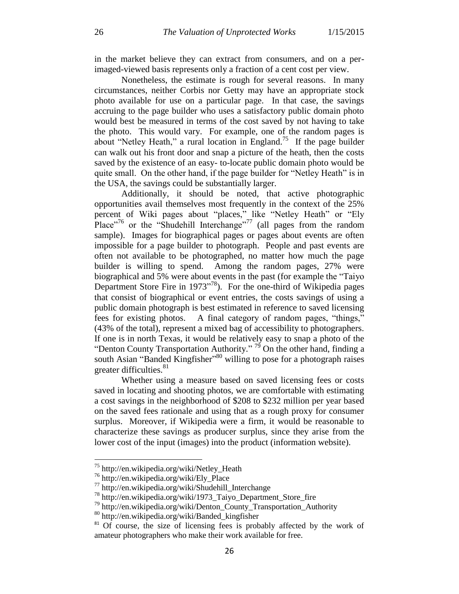in the market believe they can extract from consumers, and on a perimaged-viewed basis represents only a fraction of a cent cost per view.

Nonetheless, the estimate is rough for several reasons. In many circumstances, neither Corbis nor Getty may have an appropriate stock photo available for use on a particular page. In that case, the savings accruing to the page builder who uses a satisfactory public domain photo would best be measured in terms of the cost saved by not having to take the photo. This would vary. For example, one of the random pages is about "Netley Heath," a rural location in England.<sup>75</sup> If the page builder can walk out his front door and snap a picture of the heath, then the costs saved by the existence of an easy- to-locate public domain photo would be quite small. On the other hand, if the page builder for "Netley Heath" is in the USA, the savings could be substantially larger.

Additionally, it should be noted, that active photographic opportunities avail themselves most frequently in the context of the 25% percent of Wiki pages about "places," like "Netley Heath" or "Ely Place"<sup>76</sup> or the "Shudehill Interchange"<sup>77</sup> (all pages from the random sample). Images for biographical pages or pages about events are often impossible for a page builder to photograph. People and past events are often not available to be photographed, no matter how much the page builder is willing to spend. Among the random pages, 27% were biographical and 5% were about events in the past (for example the "Taiyo Department Store Fire in 1973"<sup>78</sup>). For the one-third of Wikipedia pages that consist of biographical or event entries, the costs savings of using a public domain photograph is best estimated in reference to saved licensing fees for existing photos. A final category of random pages, "things," (43% of the total), represent a mixed bag of accessibility to photographers. If one is in north Texas, it would be relatively easy to snap a photo of the "Denton County Transportation Authority."<sup>79</sup> On the other hand, finding a south Asian "Banded Kingfisher"<sup>80</sup> willing to pose for a photograph raises greater difficulties.<sup>81</sup>

Whether using a measure based on saved licensing fees or costs saved in locating and shooting photos, we are comfortable with estimating a cost savings in the neighborhood of \$208 to \$232 million per year based on the saved fees rationale and using that as a rough proxy for consumer surplus. Moreover, if Wikipedia were a firm, it would be reasonable to characterize these savings as producer surplus, since they arise from the lower cost of the input (images) into the product (information website).

<sup>75</sup> http://en.wikipedia.org/wiki/Netley\_Heath

<sup>76</sup> http://en.wikipedia.org/wiki/Ely\_Place

<sup>77</sup> http://en.wikipedia.org/wiki/Shudehill\_Interchange

<sup>78</sup> http://en.wikipedia.org/wiki/1973\_Taiyo\_Department\_Store\_fire

<sup>79</sup> http://en.wikipedia.org/wiki/Denton\_County\_Transportation\_Authority

<sup>80</sup> http://en.wikipedia.org/wiki/Banded\_kingfisher

<sup>&</sup>lt;sup>81</sup> Of course, the size of licensing fees is probably affected by the work of amateur photographers who make their work available for free.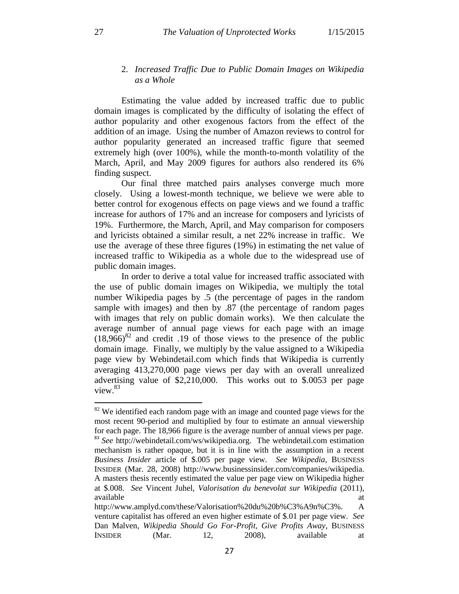### 2. *Increased Traffic Due to Public Domain Images on Wikipedia as a Whole*

Estimating the value added by increased traffic due to public domain images is complicated by the difficulty of isolating the effect of author popularity and other exogenous factors from the effect of the addition of an image. Using the number of Amazon reviews to control for author popularity generated an increased traffic figure that seemed extremely high (over 100%), while the month-to-month volatility of the March, April, and May 2009 figures for authors also rendered its 6% finding suspect.

Our final three matched pairs analyses converge much more closely. Using a lowest-month technique, we believe we were able to better control for exogenous effects on page views and we found a traffic increase for authors of 17% and an increase for composers and lyricists of 19%. Furthermore, the March, April, and May comparison for composers and lyricists obtained a similar result, a net 22% increase in traffic. We use the average of these three figures (19%) in estimating the net value of increased traffic to Wikipedia as a whole due to the widespread use of public domain images.

In order to derive a total value for increased traffic associated with the use of public domain images on Wikipedia, we multiply the total number Wikipedia pages by .5 (the percentage of pages in the random sample with images) and then by .87 (the percentage of random pages with images that rely on public domain works). We then calculate the average number of annual page views for each page with an image  $(18.966)^{82}$  and credit .19 of those views to the presence of the public domain image. Finally, we multiply by the value assigned to a Wikipedia page view by Webindetail.com which finds that Wikipedia is currently averaging 413,270,000 page views per day with an overall unrealized advertising value of \$2,210,000. This works out to \$.0053 per page view.<sup>83</sup>

 $82$  We identified each random page with an image and counted page views for the most recent 90-period and multiplied by four to estimate an annual viewership for each page. The 18,966 figure is the average number of annual views per page. <sup>83</sup> See http://webindetail.com/ws/wikipedia.org. The webindetail.com estimation mechanism is rather opaque, but it is in line with the assumption in a recent *Business Insider* article of \$.005 per page view. *See Wikipedia*, BUSINESS INSIDER (Mar. 28, 2008) http://www.businessinsider.com/companies/wikipedia. A masters thesis recently estimated the value per page view on Wikipedia higher at \$.008. *See* Vincent Juhel, *Valorisation du benevolat sur Wikipedia* (2011), available at a structure of the structure of the structure of the structure of the structure of the structure of the structure of the structure of the structure of the structure of the structure of the structure of the str

http://www.amplyd.com/these/Valorisation%20du%20b%C3%A9n%C3%. A venture capitalist has offered an even higher estimate of \$.01 per page view. *See* Dan Malven, *Wikipedia Should Go For-Profit, Give Profits Away*, BUSINESS INSIDER (Mar. 12, 2008), available at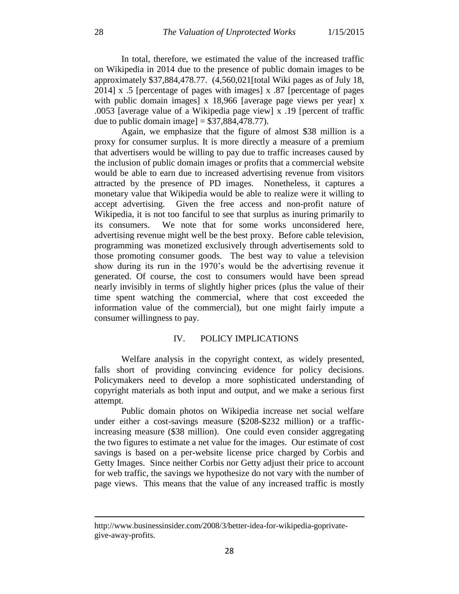In total, therefore, we estimated the value of the increased traffic on Wikipedia in 2014 due to the presence of public domain images to be approximately \$37,884,478.77. (4,560,021[total Wiki pages as of July 18, 2014] x .5 [percentage of pages with images] x .87 [percentage of pages with public domain images] x 18,966 [average page views per year] x .0053 [average value of a Wikipedia page view] x .19 [percent of traffic due to public domain image]  $= $37,884,478.77$ .

Again, we emphasize that the figure of almost \$38 million is a proxy for consumer surplus. It is more directly a measure of a premium that advertisers would be willing to pay due to traffic increases caused by the inclusion of public domain images or profits that a commercial website would be able to earn due to increased advertising revenue from visitors attracted by the presence of PD images. Nonetheless, it captures a monetary value that Wikipedia would be able to realize were it willing to accept advertising. Given the free access and non-profit nature of Wikipedia, it is not too fanciful to see that surplus as inuring primarily to its consumers. We note that for some works unconsidered here, advertising revenue might well be the best proxy. Before cable television, programming was monetized exclusively through advertisements sold to those promoting consumer goods. The best way to value a television show during its run in the 1970's would be the advertising revenue it generated. Of course, the cost to consumers would have been spread nearly invisibly in terms of slightly higher prices (plus the value of their time spent watching the commercial, where that cost exceeded the information value of the commercial), but one might fairly impute a consumer willingness to pay.

#### IV. POLICY IMPLICATIONS

Welfare analysis in the copyright context, as widely presented, falls short of providing convincing evidence for policy decisions. Policymakers need to develop a more sophisticated understanding of copyright materials as both input and output, and we make a serious first attempt.

Public domain photos on Wikipedia increase net social welfare under either a cost-savings measure (\$208-\$232 million) or a trafficincreasing measure (\$38 million). One could even consider aggregating the two figures to estimate a net value for the images. Our estimate of cost savings is based on a per-website license price charged by Corbis and Getty Images. Since neither Corbis nor Getty adjust their price to account for web traffic, the savings we hypothesize do not vary with the number of page views. This means that the value of any increased traffic is mostly

http://www.businessinsider.com/2008/3/better-idea-for-wikipedia-goprivategive-away-profits.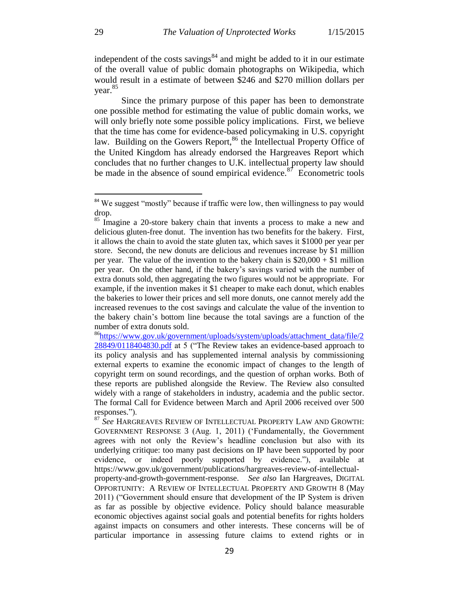independent of the costs savings $84$  and might be added to it in our estimate of the overall value of public domain photographs on Wikipedia, which would result in a estimate of between \$246 and \$270 million dollars per year. 85

Since the primary purpose of this paper has been to demonstrate one possible method for estimating the value of public domain works, we will only briefly note some possible policy implications. First, we believe that the time has come for evidence-based policymaking in U.S. copyright law. Building on the Gowers Report,<sup>86</sup> the Intellectual Property Office of the United Kingdom has already endorsed the Hargreaves Report which concludes that no further changes to U.K. intellectual property law should be made in the absence of sound empirical evidence.<sup>87</sup> Econometric tools

<sup>&</sup>lt;sup>84</sup> We suggest "mostly" because if traffic were low, then willingness to pay would drop.

<sup>&</sup>lt;sup>85</sup> Imagine a 20-store bakery chain that invents a process to make a new and delicious gluten-free donut. The invention has two benefits for the bakery. First, it allows the chain to avoid the state gluten tax, which saves it \$1000 per year per store. Second, the new donuts are delicious and revenues increase by \$1 million per year. The value of the invention to the bakery chain is  $$20,000 + $1$  million per year. On the other hand, if the bakery's savings varied with the number of extra donuts sold, then aggregating the two figures would not be appropriate. For example, if the invention makes it \$1 cheaper to make each donut, which enables the bakeries to lower their prices and sell more donuts, one cannot merely add the increased revenues to the cost savings and calculate the value of the invention to the bakery chain's bottom line because the total savings are a function of the number of extra donuts sold.

<sup>&</sup>lt;sup>86</sup>[https://www.gov.uk/government/uploads/system/uploads/attachment\\_data/file/2](https://www.gov.uk/government/uploads/system/uploads/attachment_data/file/228849/0118404830.pdf) [28849/0118404830.pdf](https://www.gov.uk/government/uploads/system/uploads/attachment_data/file/228849/0118404830.pdf) at 5 ("The Review takes an evidence-based approach to its policy analysis and has supplemented internal analysis by commissioning external experts to examine the economic impact of changes to the length of copyright term on sound recordings, and the question of orphan works. Both of these reports are published alongside the Review. The Review also consulted widely with a range of stakeholders in industry, academia and the public sector. The formal Call for Evidence between March and April 2006 received over 500 responses.").

<sup>87</sup> *See* HARGREAVES REVIEW OF INTELLECTUAL PROPERTY LAW AND GROWTH: GOVERNMENT RESPONSE 3 (Aug. 1, 2011) ('Fundamentally, the Government agrees with not only the Review's headline conclusion but also with its underlying critique: too many past decisions on IP have been supported by poor evidence, or indeed poorly supported by evidence."), available at https://www.gov.uk/government/publications/hargreaves-review-of-intellectualproperty-and-growth-government-response. *See also* Ian Hargreaves, DIGITAL OPPORTUNITY: A REVIEW OF INTELLECTUAL PROPERTY AND GROWTH 8 (May 2011) ("Government should ensure that development of the IP System is driven as far as possible by objective evidence. Policy should balance measurable economic objectives against social goals and potential benefits for rights holders against impacts on consumers and other interests. These concerns will be of particular importance in assessing future claims to extend rights or in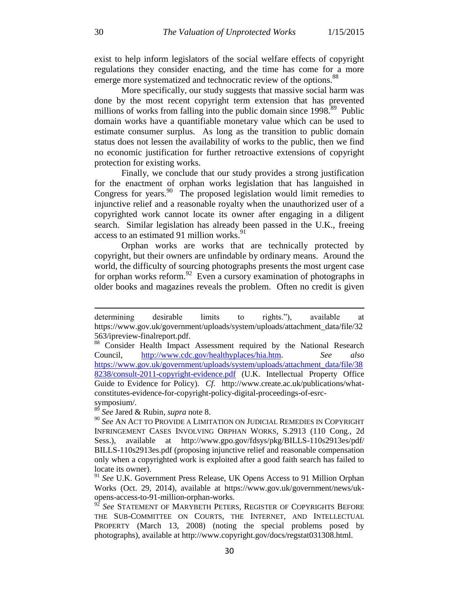exist to help inform legislators of the social welfare effects of copyright regulations they consider enacting, and the time has come for a more emerge more systematized and technocratic review of the options.<sup>88</sup>

More specifically, our study suggests that massive social harm was done by the most recent copyright term extension that has prevented millions of works from falling into the public domain since  $1998$ <sup>89</sup> Public domain works have a quantifiable monetary value which can be used to estimate consumer surplus. As long as the transition to public domain status does not lessen the availability of works to the public, then we find no economic justification for further retroactive extensions of copyright protection for existing works.

Finally, we conclude that our study provides a strong justification for the enactment of orphan works legislation that has languished in Congress for years.<sup>90</sup> The proposed legislation would limit remedies to injunctive relief and a reasonable royalty when the unauthorized user of a copyrighted work cannot locate its owner after engaging in a diligent search. Similar legislation has already been passed in the U.K., freeing access to an estimated 91 million works.<sup>91</sup>

Orphan works are works that are technically protected by copyright, but their owners are unfindable by ordinary means. Around the world, the difficulty of sourcing photographs presents the most urgent case for orphan works reform.  $92$  Even a cursory examination of photographs in older books and magazines reveals the problem. Often no credit is given

determining desirable limits to rights."), available at https://www.gov.uk/government/uploads/system/uploads/attachment\_data/file/32 563/ipreview-finalreport.pdf.<br><sup>88</sup> Consider Health Impact

Consider Health Impact Assessment required by the National Research Council, [http://www.cdc.gov/healthyplaces/hia.htm.](http://www.cdc.gov/healthyplaces/hia.htm) *See also* [https://www.gov.uk/government/uploads/system/uploads/attachment\\_data/file/38](https://www.gov.uk/government/uploads/system/uploads/attachment_data/file/388238/consult-2011-copyright-evidence.pdf) [8238/consult-2011-copyright-evidence.pdf](https://www.gov.uk/government/uploads/system/uploads/attachment_data/file/388238/consult-2011-copyright-evidence.pdf) (U.K. Intellectual Property Office Guide to Evidence for Policy). *Cf*. http://www.create.ac.uk/publications/whatconstitutes-evidence-for-copyright-policy-digital-proceedings-of-esrcsymposium/.<br> $89 \,$ S<sub>12</sub> Jane 1.8</sub>

<sup>89</sup> *See* Jared & Rubin*, supra* note 8.

<sup>90</sup> *See* AN ACT TO PROVIDE A LIMITATION ON JUDICIAL REMEDIES IN COPYRIGHT INFRINGEMENT CASES INVOLVING ORPHAN WORKS, S.2913 (110 Cong., 2d Sess.), available at http://www.gpo.gov/fdsys/pkg/BILLS-110s2913es/pdf/ BILLS-110s2913es.pdf (proposing injunctive relief and reasonable compensation only when a copyrighted work is exploited after a good faith search has failed to locate its owner).

<sup>91</sup> *See* U.K. Government Press Release, UK Opens Access to 91 Million Orphan Works (Oct. 29, 2014), available at https://www.gov.uk/government/news/ukopens-access-to-91-million-orphan-works.

<sup>&</sup>lt;sup>92</sup> See STATEMENT OF MARYBETH PETERS, REGISTER OF COPYRIGHTS BEFORE THE SUB-COMMITTEE ON COURTS, THE INTERNET, AND INTELLECTUAL PROPERTY (March 13, 2008) (noting the special problems posed by photographs), available at http://www.copyright.gov/docs/regstat031308.html.